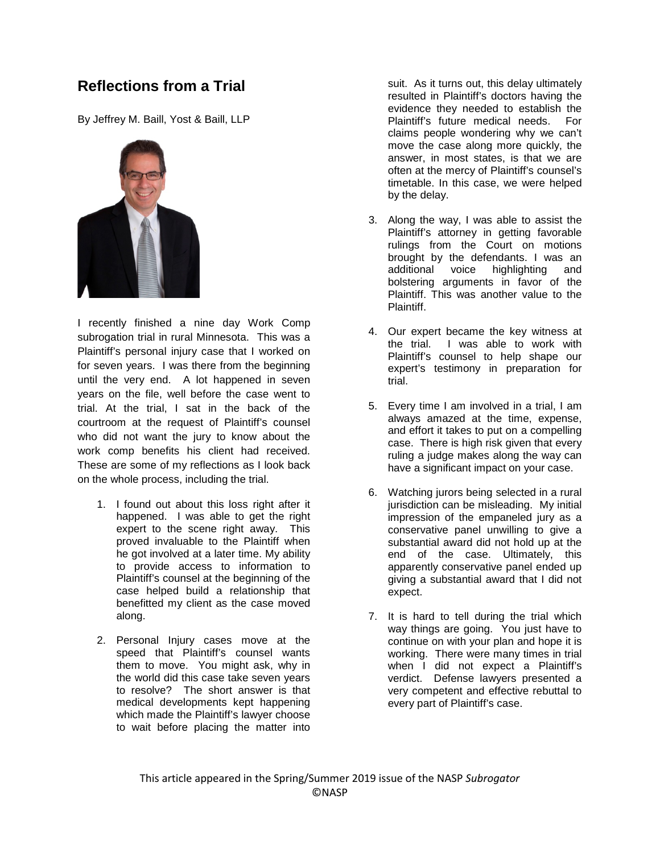## **Reflections from a Trial**

By Jeffrey M. Baill, Yost & Baill, LLP



I recently finished a nine day Work Comp subrogation trial in rural Minnesota. This was a Plaintiff's personal injury case that I worked on for seven years. I was there from the beginning until the very end. A lot happened in seven years on the file, well before the case went to trial. At the trial, I sat in the back of the courtroom at the request of Plaintiff's counsel who did not want the jury to know about the work comp benefits his client had received. These are some of my reflections as I look back on the whole process, including the trial.

- 1. I found out about this loss right after it happened. I was able to get the right expert to the scene right away. This proved invaluable to the Plaintiff when he got involved at a later time. My ability to provide access to information to Plaintiff's counsel at the beginning of the case helped build a relationship that benefitted my client as the case moved along.
- 2. Personal Injury cases move at the speed that Plaintiff's counsel wants them to move. You might ask, why in the world did this case take seven years to resolve? The short answer is that medical developments kept happening which made the Plaintiff's lawyer choose to wait before placing the matter into

suit. As it turns out, this delay ultimately resulted in Plaintiff's doctors having the evidence they needed to establish the<br>Plaintiff's future medical needs. For Plaintiff's future medical needs. claims people wondering why we can't move the case along more quickly, the answer, in most states, is that we are often at the mercy of Plaintiff's counsel's timetable. In this case, we were helped by the delay.

- 3. Along the way, I was able to assist the Plaintiff's attorney in getting favorable rulings from the Court on motions brought by the defendants. I was an additional voice highlighting and bolstering arguments in favor of the Plaintiff. This was another value to the Plaintiff.
- 4. Our expert became the key witness at the trial. I was able to work with Plaintiff's counsel to help shape our expert's testimony in preparation for trial.
- 5. Every time I am involved in a trial, I am always amazed at the time, expense, and effort it takes to put on a compelling case. There is high risk given that every ruling a judge makes along the way can have a significant impact on your case.
- 6. Watching jurors being selected in a rural jurisdiction can be misleading. My initial impression of the empaneled jury as a conservative panel unwilling to give a substantial award did not hold up at the end of the case. Ultimately, this apparently conservative panel ended up giving a substantial award that I did not expect.
- 7. It is hard to tell during the trial which way things are going. You just have to continue on with your plan and hope it is working. There were many times in trial when I did not expect a Plaintiff's verdict. Defense lawyers presented a very competent and effective rebuttal to every part of Plaintiff's case.

This article appeared in the Spring/Summer 2019 issue of the NASP *Subrogator* ©NASP